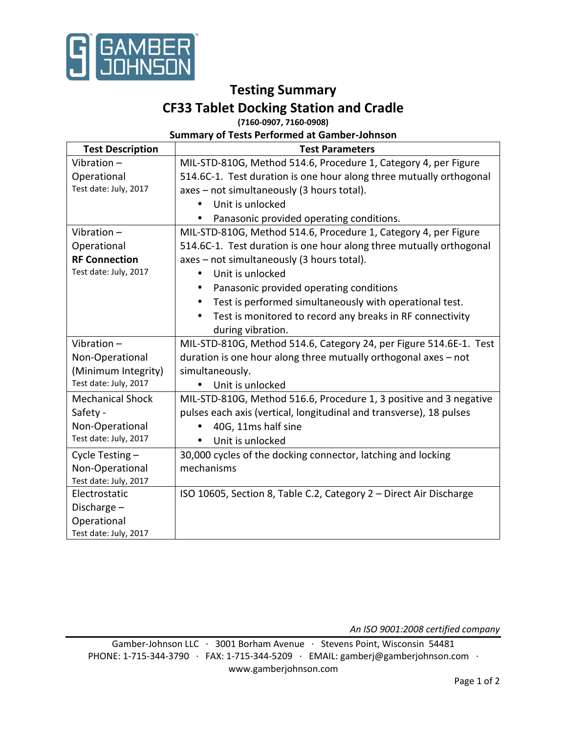

## **Testing Summary**

# **CF33 Tablet Docking Station and Cradle**

**(7160-0907, 7160-0908)** 

### **Summary of Tests Performed at Gamber-Johnson**

| <b>Test Description</b> | <b>Test Parameters</b>                                                 |
|-------------------------|------------------------------------------------------------------------|
| Vibration-              | MIL-STD-810G, Method 514.6, Procedure 1, Category 4, per Figure        |
| Operational             | 514.6C-1. Test duration is one hour along three mutually orthogonal    |
| Test date: July, 2017   | axes - not simultaneously (3 hours total).                             |
|                         | Unit is unlocked                                                       |
|                         | Panasonic provided operating conditions.                               |
| Vibration $-$           | MIL-STD-810G, Method 514.6, Procedure 1, Category 4, per Figure        |
| Operational             | 514.6C-1. Test duration is one hour along three mutually orthogonal    |
| <b>RF Connection</b>    | axes - not simultaneously (3 hours total).                             |
| Test date: July, 2017   | Unit is unlocked                                                       |
|                         | Panasonic provided operating conditions                                |
|                         | Test is performed simultaneously with operational test.                |
|                         | Test is monitored to record any breaks in RF connectivity<br>$\bullet$ |
|                         | during vibration.                                                      |
| Vibration $-$           | MIL-STD-810G, Method 514.6, Category 24, per Figure 514.6E-1. Test     |
| Non-Operational         | duration is one hour along three mutually orthogonal axes - not        |
| (Minimum Integrity)     | simultaneously.                                                        |
| Test date: July, 2017   | Unit is unlocked                                                       |
| <b>Mechanical Shock</b> | MIL-STD-810G, Method 516.6, Procedure 1, 3 positive and 3 negative     |
| Safety -                | pulses each axis (vertical, longitudinal and transverse), 18 pulses    |
| Non-Operational         | 40G, 11ms half sine                                                    |
| Test date: July, 2017   | Unit is unlocked<br>$\bullet$                                          |
| Cycle Testing -         | 30,000 cycles of the docking connector, latching and locking           |
| Non-Operational         | mechanisms                                                             |
| Test date: July, 2017   |                                                                        |
| Electrostatic           | ISO 10605, Section 8, Table C.2, Category 2 - Direct Air Discharge     |
| Discharge $-$           |                                                                        |
| Operational             |                                                                        |
| Test date: July, 2017   |                                                                        |

*An ISO 9001:2008 certified company* 

Gamber-Johnson LLC ∙ 3001 Borham Avenue ∙ Stevens Point, Wisconsin 54481 PHONE: 1-715-344-3790 ∙ FAX: 1-715-344-5209 ∙ EMAIL: gamberj@gamberjohnson.com ∙ www.gamberjohnson.com